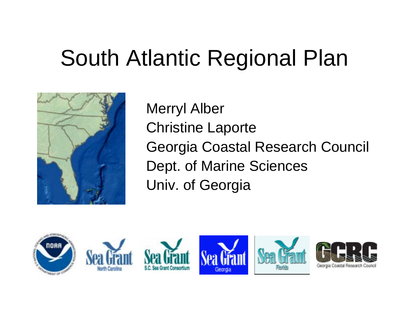# South Atlantic Regional Plan



Merryl Alber Christine Laporte Georgia Coastal Research Council Dept. of Marine Sciences Univ. of Georgia

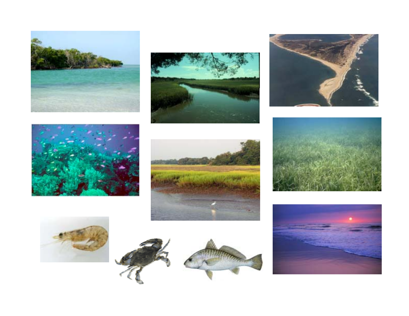

















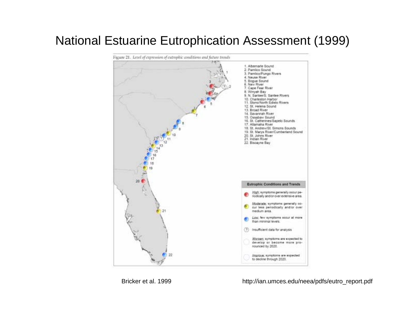#### National Estuarine Eutrophication Assessment (1999)

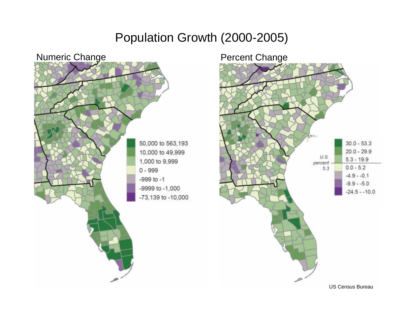#### Population Growth (2000-2005)



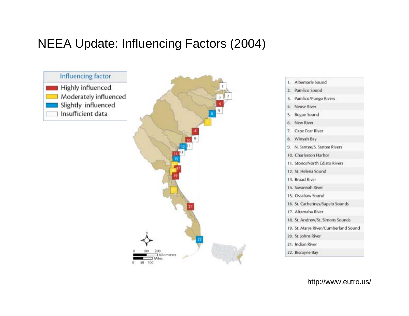#### NEEA Update: Influencing Factors (2004)



http://www.eutro.us/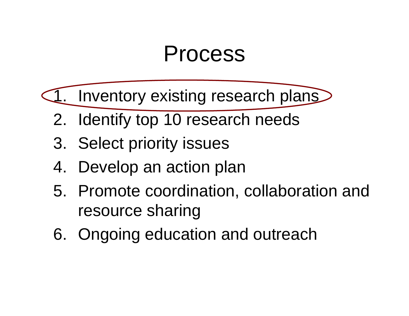1. Inventory existing research plans

- 2. Identify top 10 research needs
- 3. Select priority issues
- 4. Develop an action plan
- 5. Promote coordination, collaboration and resource sharing
- 6. Ongoing education and outreach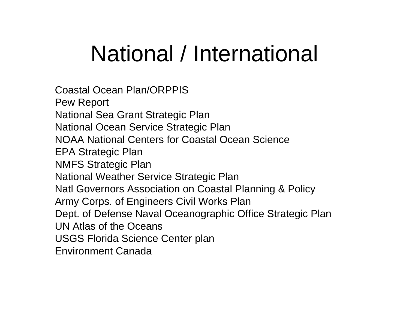# National / International

Coastal Ocean Plan/ORPPISPew Report National Sea Grant Strategic Plan National Ocean Service Strategic Plan NOAA National Centers for Coastal Ocean ScienceEPA Strategic Plan NMFS Strategic Plan National Weather Service Strategic Plan Natl Governors Association on Coastal Planning & Policy Army Corps. of Engineers Civil Works Plan Dept. of Defense Naval Oceanographic Office Strategic Plan UN Atlas of the OceansUSGS Florida Science Center plan Environment Canada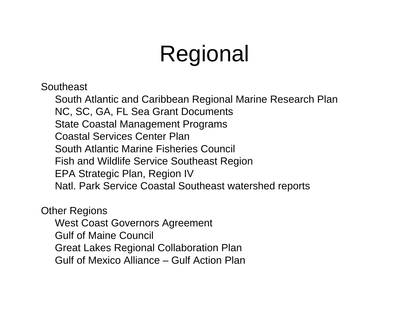# Regional

Southeast

South Atlantic and Caribbean Regional Marine Research Plan NC, SC, GA, FL Sea Grant Documents State Coastal Management Programs Coastal Services Center PlanSouth Atlantic Marine Fisheries Council Fish and Wildlife Service Southeast Region EPA Strategic Plan, Region IV Natl. Park Service Coastal Southeast watershed reports

Other Regions West Coast Governors Agreement Gulf of Maine Council Great Lakes Regional Collaboration Plan Gulf of Mexico Alliance – Gulf Action Plan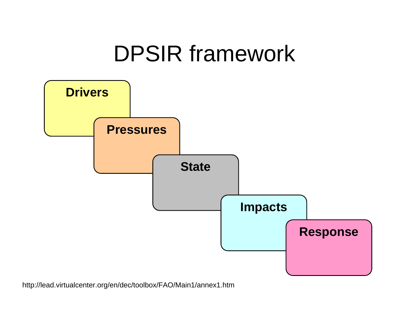# DPSIR framework



http://lead.virtualcenter.org/en/dec/toolbox/FAO/Main1/annex1.htm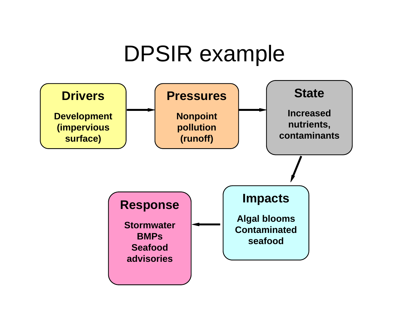# DPSIR example

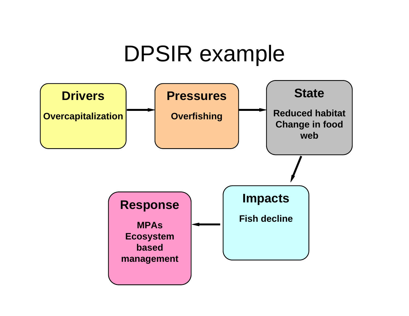# DPSIR example

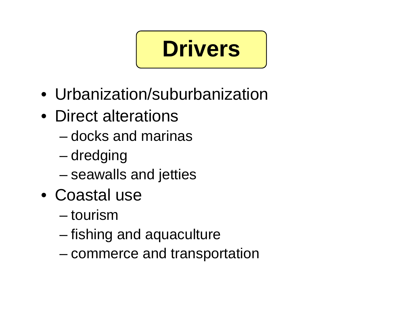# **Drivers**

- Urbanization/suburbanization
- Direct alterations
	- docks and marinas
	- –dredging
	- seawalls and jetties
- Coastal use
	- tourism
	- –fishing and aquaculture
	- –commerce and transportation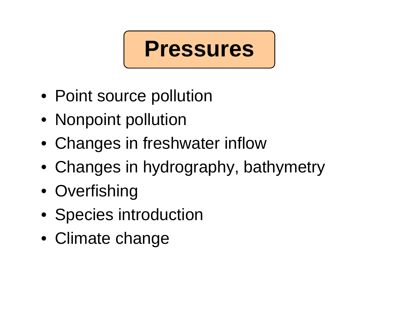### **Pressures**

- Point source pollution
- Nonpoint pollution
- Changes in freshwater inflow
- Changes in hydrography, bathymetry
- Overfishing
- Species introduction
- Climate change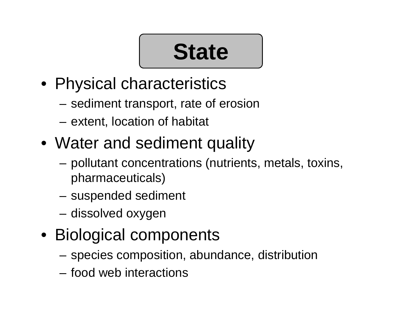# **State**

- Physical characteristics
	- sediment transport, rate of erosion
	- extent, location of habitat
- Water and sediment quality
	- pollutant concentrations (nutrients, metals, toxins, pharmaceuticals)
	- –suspended sediment
	- –dissolved oxygen
- Biological components
	- species composition, abundance, distribution
	- food web interactions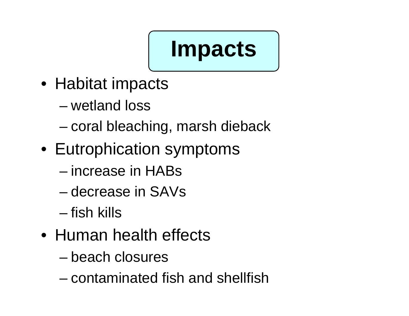# **Impacts**

- Habitat impacts
	- wetland loss
	- coral bleaching, marsh dieback
- Eutrophication symptoms
	- increase in HABs
	- decrease in SAVs
	- fish kills
- Human health effects
	- beach closures
	- contaminated fish and shellfish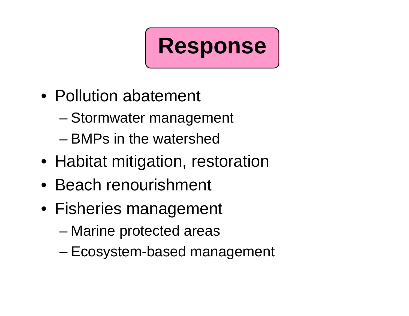# **Response**

- Pollution abatement
	- Stormwater management
	- BMPs in the watershed
- Habitat mitigation, restoration
- Beach renourishment
- Fisheries management
	- –Marine protected areas
	- –Ecosystem-based management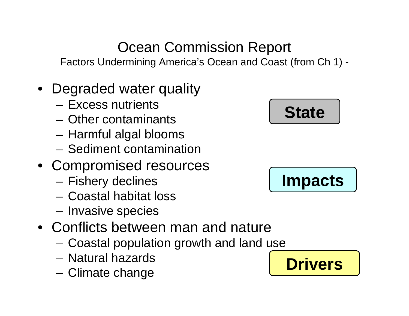### Ocean Commission Report

Factors Undermining America's Ocean and Coast (from Ch 1) -

- Degraded water quality
	- Excess nutrients
	- Other contaminants
	- Harmful algal blooms
	- Sediment contamination
- Compromised resources
	- –Fishery declines
	- Coastal habitat loss
	- Invasive species
- Conflicts between man and nature
	- –Coastal population growth and land use
	- Natural hazards
	- Climate change





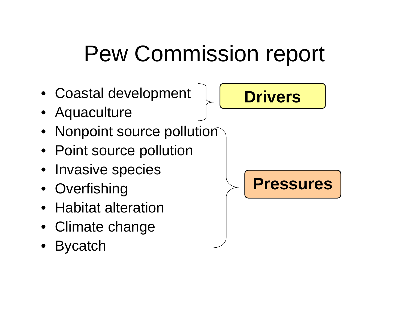# Pew Commission report

- Coastal development
- Aquaculture



- Nonpoint source pollution
- Point source pollution
- Invasive species
- Overfishing
- Habitat alteration
- Climate change
- •Bycatch

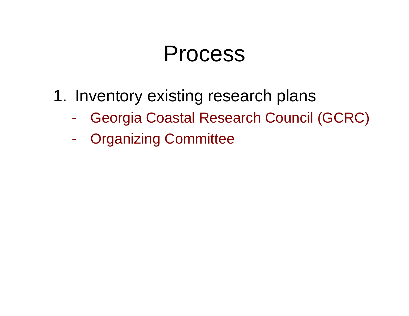- 1. Inventory existing research plans
	- -Georgia Coastal Research Council (GCRC)
	- -Organizing Committee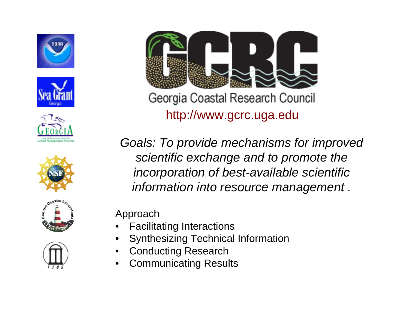













http://www.gcrc.uga.edu

*Goals: To provide mechanisms for improved scientific exchange and to promote the incorporation of best-available scientific information into resource management .*

Approach

- •Facilitating Interactions
- •Synthesizing Technical Information
- •Conducting Research
- •Communicating Results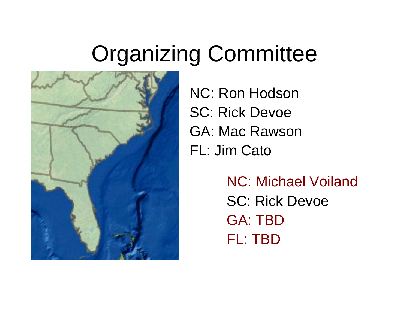# Organizing Committee



NC: Ron HodsonSC: Rick DevoeGA: Mac RawsonFL: Jim Cato

> NC: Michael VoilandSC: Rick DevoeGA: TBDFL: TBD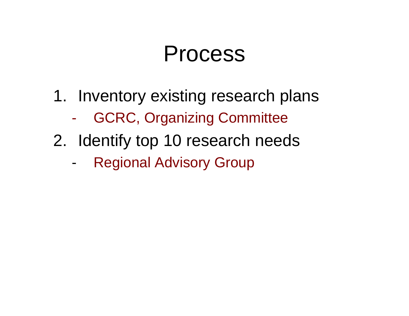- 1. Inventory existing research plans -GCRC, Organizing Committee
- 2. Identify top 10 research needs
	- -Regional Advisory Group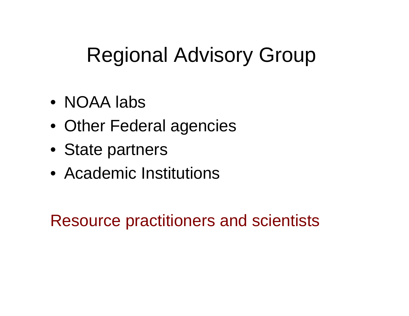# Regional Advisory Group

- NOAA labs
- Other Federal agencies
- State partners
- Academic Institutions

Resource practitioners and scientists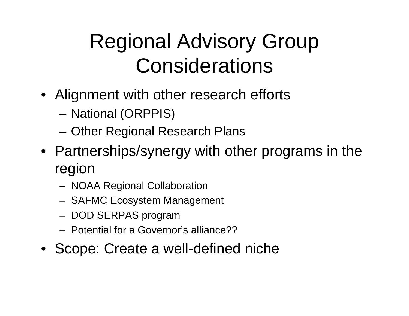### Regional Advisory Group **Considerations**

- Alignment with other research efforts
	- –National (ORPPIS)
	- –Other Regional Research Plans
- Partnerships/synergy with other programs in the region
	- NOAA Regional Collaboration
	- SAFMC Ecosystem Management
	- DOD SERPAS program
	- Potential for a Governor's alliance??
- Scope: Create a well-defined niche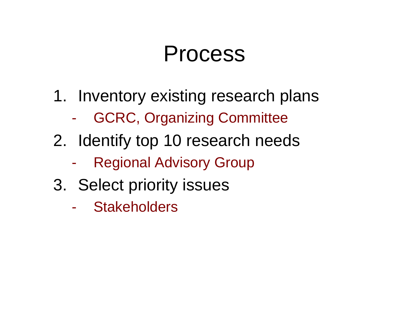- 1. Inventory existing research plans
	- -GCRC, Organizing Committee
- 2. Identify top 10 research needs
	- Regional Advisory Group
- 3. Select priority issues
	- **Stakeholders**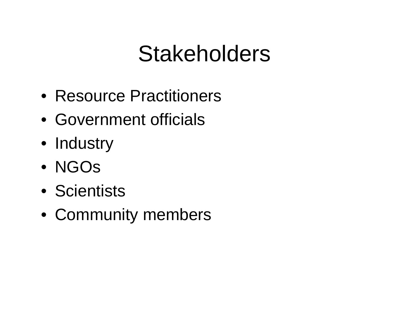# **Stakeholders**

- Resource Practitioners
- Government officials
- Industry
- NGOs
- Scientists
- Community members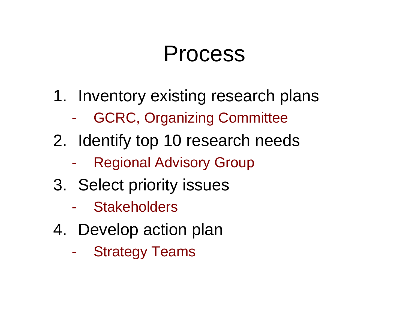- 1. Inventory existing research plans
	- -GCRC, Organizing Committee
- 2. Identify top 10 research needs
	- Regional Advisory Group
- 3. Select priority issues
	- **Stakeholders**
- 4. Develop action plan
	- Strategy Teams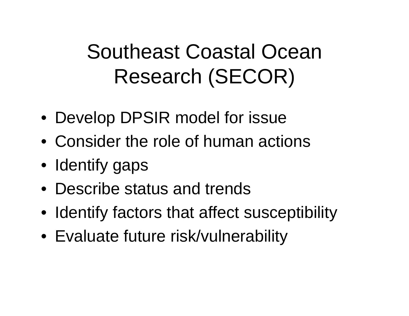# Southeast Coastal Ocean Research (SECOR)

- Develop DPSIR model for issue
- Consider the role of human actions
- Identify gaps
- Describe status and trends
- Identify factors that affect susceptibility
- Evaluate future risk/vulnerability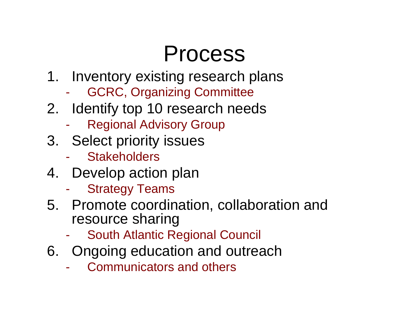- 1. Inventory existing research plans
	- -GCRC, Organizing Committee
- 2. Identify top 10 research needs
	- $\mathcal{L}_{\mathcal{A}}$ Regional Advisory Group
- 3. Select priority issues
	- $\mathcal{L}_{\mathcal{A}}$ **Stakeholders**
- 4. Develop action plan
	- -Strategy Teams
- 5. Promote coordination, collaboration and resource sharing
	- -South Atlantic Regional Council
- 6. Ongoing education and outreach
	- -Communicators and others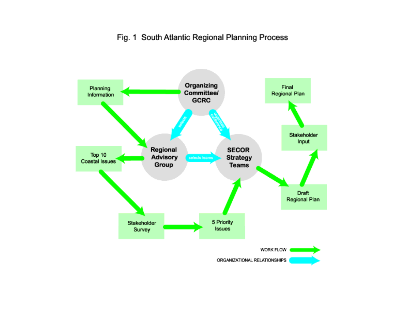#### Fig. 1 South Atlantic Regional Planning Process